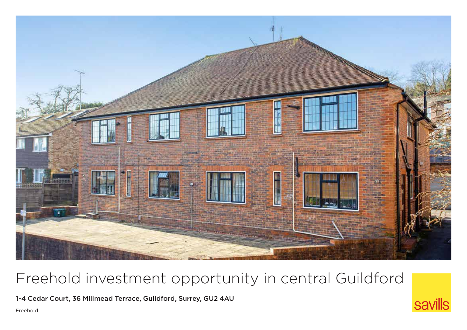

# Freehold investment opportunity in central Guildford

1-4 Cedar Court, 36 Millmead Terrace, Guildford, Surrey, GU2 4AU

Freehold

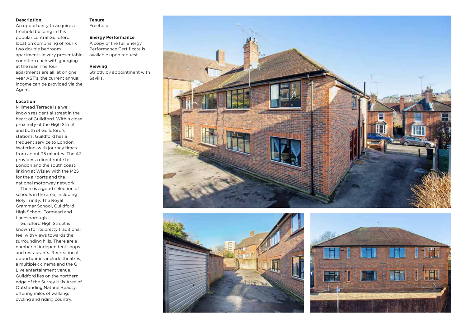#### **Description**

An opportunity to acquire a freehold building in this popular central Guildford location comprising of four x two double bedroom apartments in very presentable condition each with garaging at the rear. The four apartments are all let on one year AST's, the current annual income can be provided via the Agent.

### **Location**

Millmead Terrace is a well known residential street in the heart of Guildford. Within close proximity of the High Street and both of Guildford's stations. Guildford has a frequent service to London Waterloo, with journey times from about 35 minutes. The A3 provides a direct route to London and the south coast, linking at Wisley with the M25 for the airports and the national motorway network.

There is a good selection of schools in the area, including Holy Trinity, The Royal Grammar School, Guildford High School, Tormead and Lanesborough.

Guildford High Street is known for its pretty traditional feel with views towards the surrounding hills. There are a number of independent shops and restaurants. Recreational opportunities include theatres, a multiplex cinema and the G Live entertainment venue. Guildford lies on the northern edge of the Surrey Hills Area of Outstanding Natural Beauty, offering miles of walking, cycling and riding country.

#### **Tenure**

Freehold

## **Energy Performance**

A copy of the full Energy Performance Certificate is available upon request.

#### **Viewing**

Strictly by appointment with Savills.





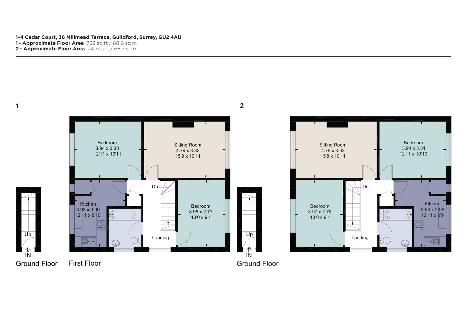**1-4 Cedar Court, 36 Millmead Terrace, Guildford, Surrey, GU2 4AU**

- **1 Approximate Floor Area** 739 sq ft / 68.6 sq m
- **2 Approximate Floor Area** 740 sq ft / 68.7 sq m